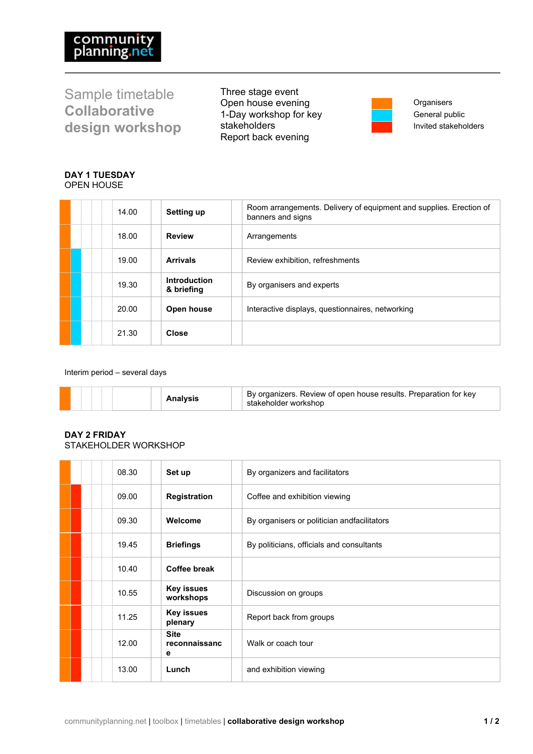Sample timetable **Collaborative design workshop** Three stage event Open house evening 1-Day workshop for key stakeholders Report back evening



**Organisers** General public Invited stakeholders

## **DAY 1 TUESDAY** OPEN HOUSE

|  | 14.00 | <b>Setting up</b>          | Room arrangements. Delivery of equipment and supplies. Erection of<br>banners and signs |
|--|-------|----------------------------|-----------------------------------------------------------------------------------------|
|  | 18.00 | <b>Review</b>              | Arrangements                                                                            |
|  | 19.00 | <b>Arrivals</b>            | Review exhibition, refreshments                                                         |
|  | 19.30 | Introduction<br>& briefing | By organisers and experts                                                               |
|  | 20.00 | Open house                 | Interactive displays, questionnaires, networking                                        |
|  | 21.30 | Close                      |                                                                                         |

Interim period – several days

|  | organizers. Review of open house results. Preparation for key<br>stakeholder workshop |
|--|---------------------------------------------------------------------------------------|
|--|---------------------------------------------------------------------------------------|

## **DAY 2 FRIDAY** STAKEHOLDER WORKSHOP

|  | 08.30 | Set up                            | By organizers and facilitators              |
|--|-------|-----------------------------------|---------------------------------------------|
|  | 09.00 | <b>Registration</b>               | Coffee and exhibition viewing               |
|  | 09.30 | Welcome                           | By organisers or politician andfacilitators |
|  | 19.45 | <b>Briefings</b>                  | By politicians, officials and consultants   |
|  | 10.40 | Coffee break                      |                                             |
|  | 10.55 | <b>Key issues</b><br>workshops    | Discussion on groups                        |
|  | 11.25 | <b>Key issues</b><br>plenary      | Report back from groups                     |
|  | 12.00 | <b>Site</b><br>reconnaissanc<br>е | Walk or coach tour                          |
|  | 13.00 | Lunch                             | and exhibition viewing                      |